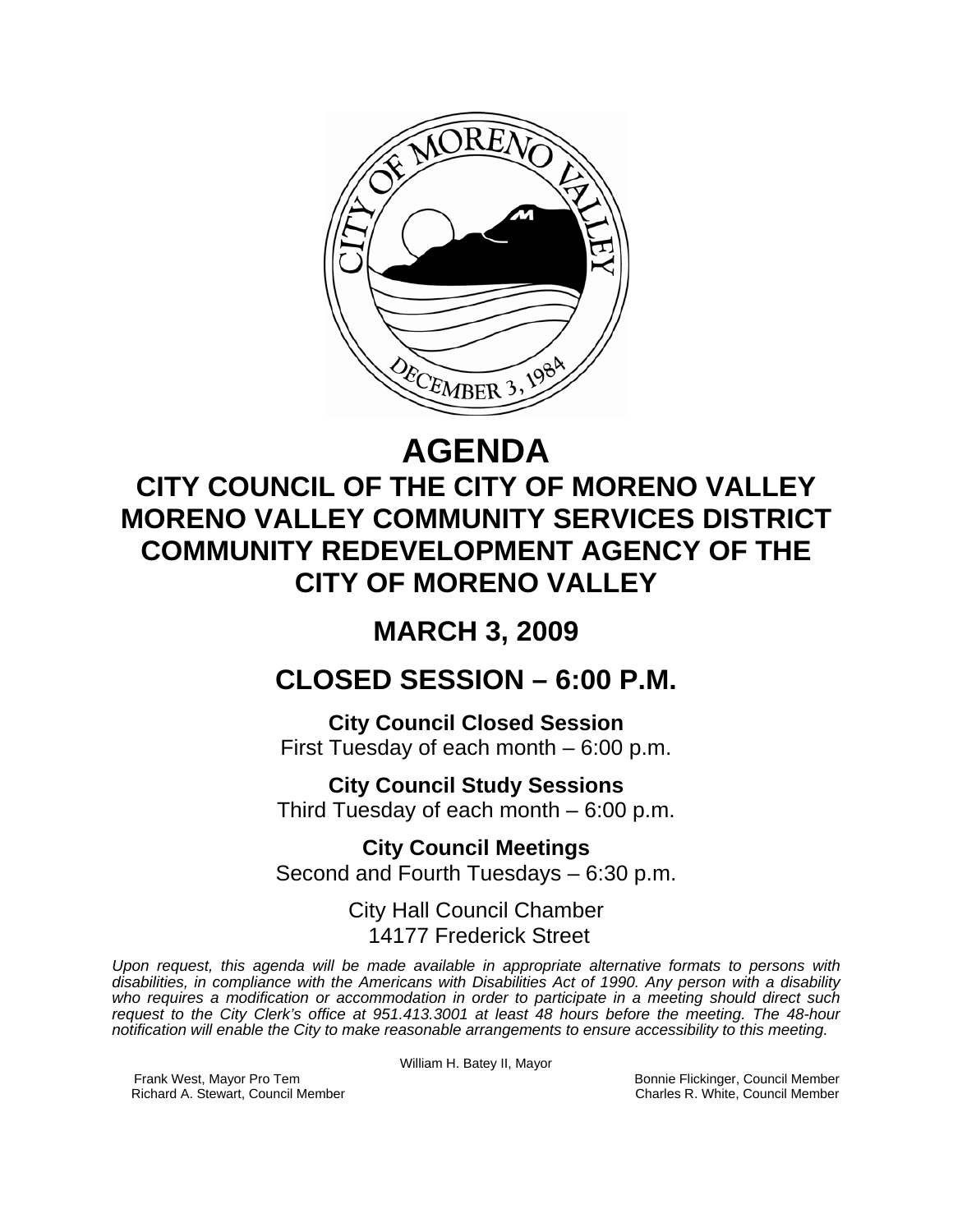

# **AGENDA**

## **CITY COUNCIL OF THE CITY OF MORENO VALLEY MORENO VALLEY COMMUNITY SERVICES DISTRICT COMMUNITY REDEVELOPMENT AGENCY OF THE CITY OF MORENO VALLEY**

## **MARCH 3, 2009**

### **CLOSED SESSION – 6:00 P.M.**

**City Council Closed Session**  First Tuesday of each month – 6:00 p.m.

**City Council Study Sessions**  Third Tuesday of each month – 6:00 p.m.

**City Council Meetings**  Second and Fourth Tuesdays – 6:30 p.m.

> City Hall Council Chamber 14177 Frederick Street

*Upon request, this agenda will be made available in appropriate alternative formats to persons with disabilities, in compliance with the Americans with Disabilities Act of 1990. Any person with a disability who requires a modification or accommodation in order to participate in a meeting should direct such request to the City Clerk's office at 951.413.3001 at least 48 hours before the meeting. The 48-hour notification will enable the City to make reasonable arrangements to ensure accessibility to this meeting.* 

William H. Batey II, Mayor

Frank West, Mayor Pro Tem Bonnie Flickinger, Council Member<br>Richard A. Stewart, Council Member **Bonnie Flickinger, Council Member** Charles R. White, Council Member Richard A. Stewart, Council Member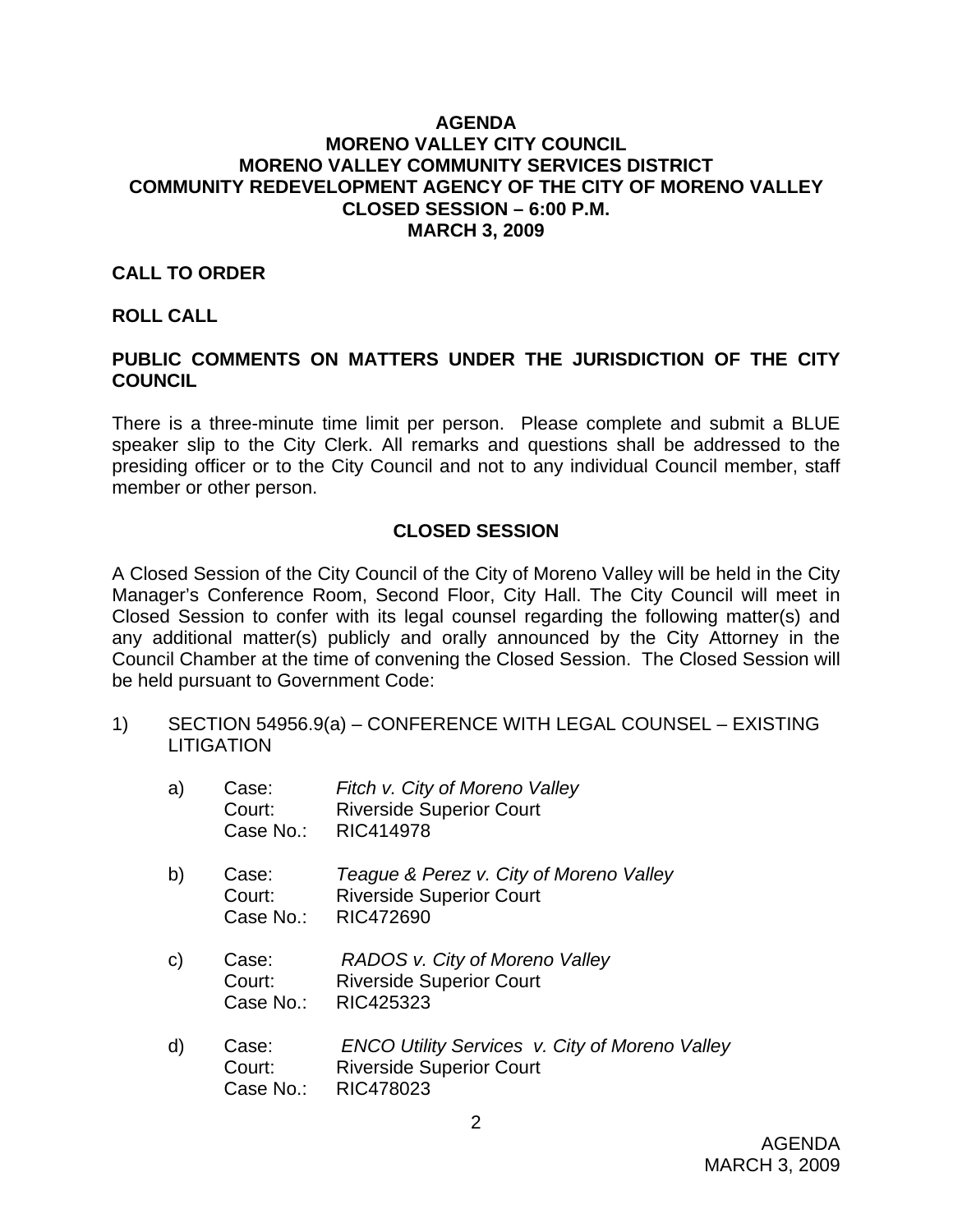#### **AGENDA MORENO VALLEY CITY COUNCIL MORENO VALLEY COMMUNITY SERVICES DISTRICT COMMUNITY REDEVELOPMENT AGENCY OF THE CITY OF MORENO VALLEY CLOSED SESSION – 6:00 P.M. MARCH 3, 2009**

#### **CALL TO ORDER**

#### **ROLL CALL**

#### **PUBLIC COMMENTS ON MATTERS UNDER THE JURISDICTION OF THE CITY COUNCIL**

There is a three-minute time limit per person. Please complete and submit a BLUE speaker slip to the City Clerk. All remarks and questions shall be addressed to the presiding officer or to the City Council and not to any individual Council member, staff member or other person.

#### **CLOSED SESSION**

A Closed Session of the City Council of the City of Moreno Valley will be held in the City Manager's Conference Room, Second Floor, City Hall. The City Council will meet in Closed Session to confer with its legal counsel regarding the following matter(s) and any additional matter(s) publicly and orally announced by the City Attorney in the Council Chamber at the time of convening the Closed Session. The Closed Session will be held pursuant to Government Code:

1) SECTION 54956.9(a) – CONFERENCE WITH LEGAL COUNSEL – EXISTING **LITIGATION** 

| a)           | Case:<br>Court:<br>Case No.: | Fitch v. City of Moreno Valley<br><b>Riverside Superior Court</b><br>RIC414978          |
|--------------|------------------------------|-----------------------------------------------------------------------------------------|
| b)           | Case:<br>Court:<br>Case No.: | Teague & Perez v. City of Moreno Valley<br><b>Riverside Superior Court</b><br>RIC472690 |
| $\mathsf{C}$ | Case:<br>Court:<br>Case No.: | RADOS v. City of Moreno Valley<br><b>Riverside Superior Court</b><br>RIC425323          |
| d)           | Case:<br>Court:              | ENCO Utility Services v. City of Moreno Valley<br><b>Riverside Superior Court</b>       |

Case No.: RIC478023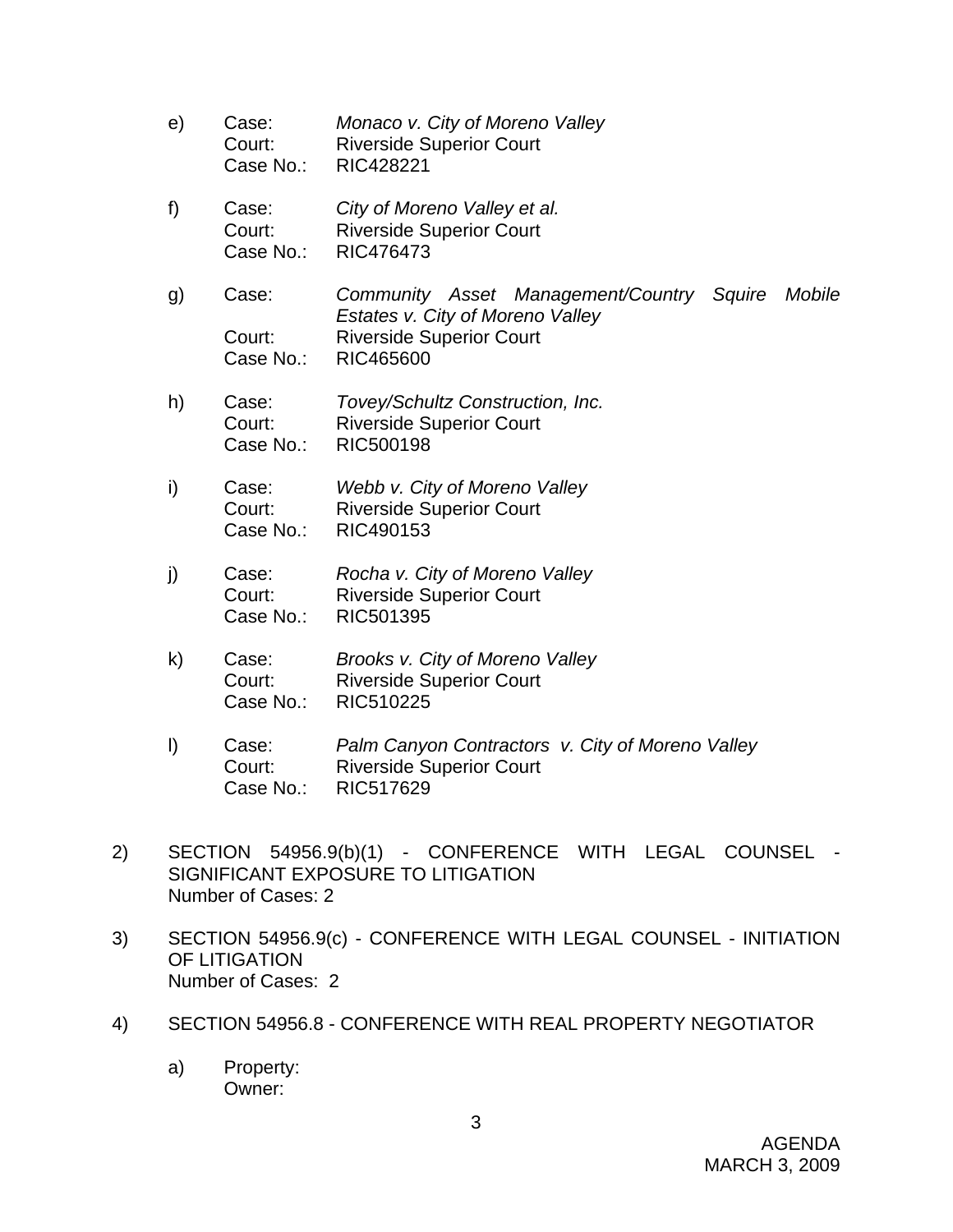- e) Case: *Monaco v. City of Moreno Valley*  Court: Riverside Superior Court Case No.: RIC428221 f) Case: *City of Moreno Valley et al.*  Court: Riverside Superior Court Case No.: RIC476473 g) Case: *Community Asset Management/Country Squire Mobile Estates v. City of Moreno Valley*  Court: Riverside Superior Court Case No.: RIC465600 h) Case: *Tovey/Schultz Construction, Inc.*  Court: Riverside Superior Court Case No.: RIC500198
- i) Case: *Webb v. City of Moreno Valley* Court: Riverside Superior Court Case No.: RIC490153
- j) Case: *Rocha v. City of Moreno Valley*  Court: Riverside Superior Court Case No.: RIC501395
- k) Case: *Brooks v. City of Moreno Valley* Court: Riverside Superior Court Case No.: RIC510225
- l) Case: *Palm Canyon Contractors v. City of Moreno Valley* Court: Riverside Superior Court Case No.: RIC517629
- 2) SECTION 54956.9(b)(1) CONFERENCE WITH LEGAL COUNSEL SIGNIFICANT EXPOSURE TO LITIGATION Number of Cases: 2
- 3) SECTION 54956.9(c) CONFERENCE WITH LEGAL COUNSEL INITIATION OF LITIGATION Number of Cases: 2
- 4) SECTION 54956.8 CONFERENCE WITH REAL PROPERTY NEGOTIATOR
	- a) Property: Owner: